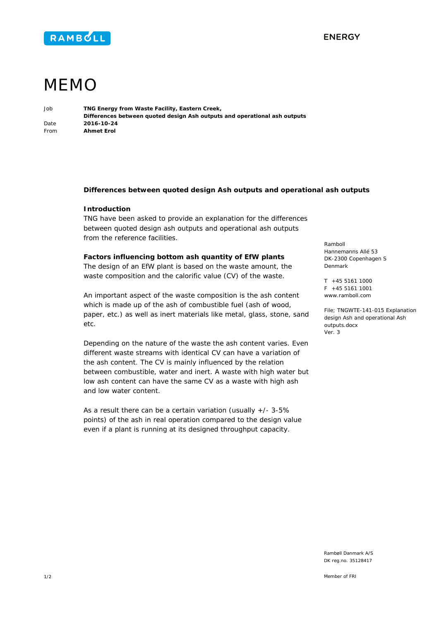



# MEMO

Job **TNG Energy from Waste Facility, Eastern Creek, Differences between quoted design Ash outputs and operational ash outputs**  Date **2016-10-24**  From **Ahmet Erol** 

# **Differences between quoted design Ash outputs and operational ash outputs**

### **Introduction**

TNG have been asked to provide an explanation for the differences between quoted design ash outputs and operational ash outputs from the reference facilities.

#### **Factors influencing bottom ash quantity of EfW plants**

The design of an EfW plant is based on the waste amount, the waste composition and the calorific value (CV) of the waste.

An important aspect of the waste composition is the ash content which is made up of the ash of combustible fuel (ash of wood, paper, etc.) as well as inert materials like metal, glass, stone, sand etc.

Depending on the nature of the waste the ash content varies. Even different waste streams with identical CV can have a variation of the ash content. The CV is mainly influenced by the relation between combustible, water and inert. A waste with high water but low ash content can have the same CV as a waste with high ash and low water content.

As a result there can be a certain variation (usually  $+/- 3-5%$ points) of the ash in real operation compared to the design value even if a plant is running at its designed throughput capacity.

Ramboll Hannemanns Allé 53 DK-2300 Copenhagen S Denmark

T +45 5161 1000  $F + 45551611001$ www.ramboll.com

File; TNGWTE-141-015 Explanation design Ash and operational Ash outputs.docx Ver. 3

Rambøll Danmark A/S DK reg.no. 35128417